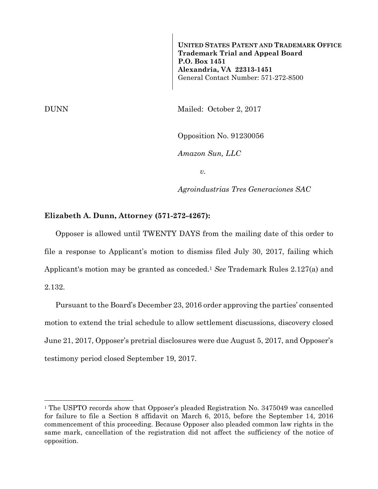**UNITED STATES PATENT AND TRADEMARK OFFICE Trademark Trial and Appeal Board P.O. Box 1451 Alexandria, VA 22313-1451**  General Contact Number: 571-272-8500

DUNN Mailed: October 2, 2017

Opposition No. 91230056

*Amazon Sun, LLC* 

*v.* 

*Agroindustrias Tres Generaciones SAC* 

## **Elizabeth A. Dunn, Attorney (571-272-4267):**

Opposer is allowed until TWENTY DAYS from the mailing date of this order to file a response to Applicant's motion to dismiss filed July 30, 2017, failing which Applicant's motion may be granted as conceded.1 *See* Trademark Rules 2.127(a) and 2.132.

Pursuant to the Board's December 23, 2016 order approving the parties' consented motion to extend the trial schedule to allow settlement discussions, discovery closed June 21, 2017, Opposer's pretrial disclosures were due August 5, 2017, and Opposer's testimony period closed September 19, 2017.

1

<sup>&</sup>lt;sup>1</sup> The USPTO records show that Opposer's pleaded Registration No. 3475049 was cancelled for failure to file a Section 8 affidavit on March 6, 2015, before the September 14, 2016 commencement of this proceeding. Because Opposer also pleaded common law rights in the same mark, cancellation of the registration did not affect the sufficiency of the notice of opposition.